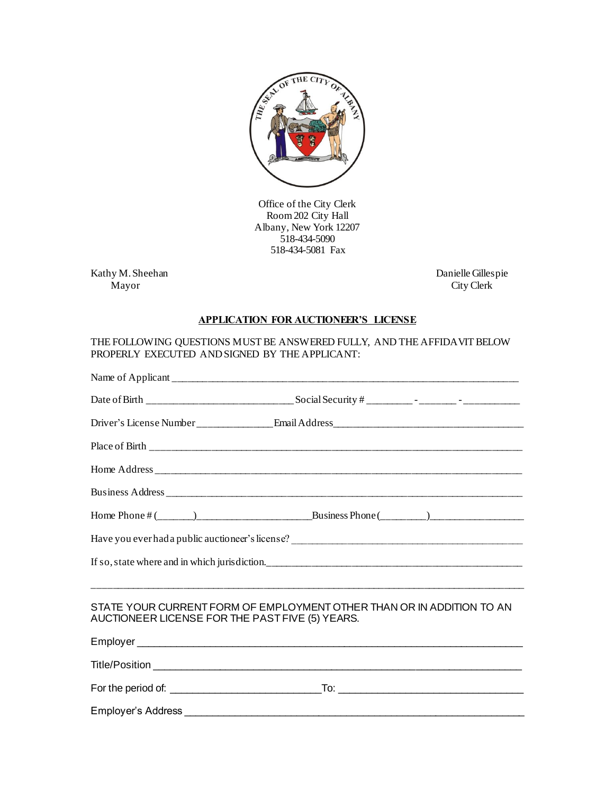

Office of the City Clerk Room 202 City Hall Albany, New York 12207 518-434-5090 518-434-5081 Fax

Kathy M. Sheehan Danielle Gillespie City Clerk

City Clerk

## **APPLICATION FOR AUCTIONEER'S LICENSE**

## THE FOLLOWING QUESTIONS MUST BE ANSWERED FULLY, AND THE AFFIDAVIT BELOW PROPERLY EXECUTED AND SIGNED BY THE APPLICANT:

|                                                 | If so, state where and in which jurisdiction.                         |
|-------------------------------------------------|-----------------------------------------------------------------------|
|                                                 | <u> 1999 - Jan James James, Amerikaansk politiker (* 1908)</u>        |
| AUCTIONEER LICENSE FOR THE PAST FIVE (5) YEARS. | STATE YOUR CURRENT FORM OF EMPLOYMENT OTHER THAN OR IN ADDITION TO AN |
|                                                 |                                                                       |
|                                                 |                                                                       |
|                                                 |                                                                       |
|                                                 |                                                                       |